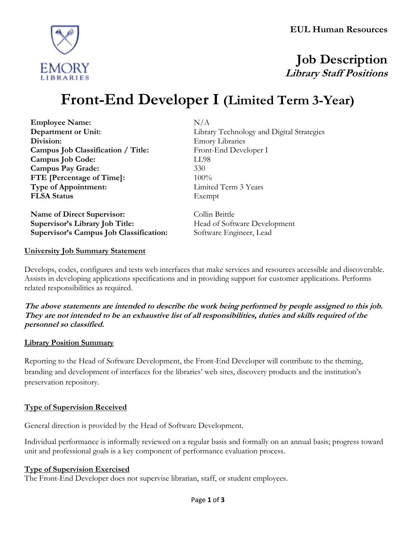

# **Job Description Library Staff Positions**

# **Front-End Developer I (Limited Term 3-Year)**

**Employee Name:** N/A **Division:** Emory Libraries **Campus Job Classification / Title:** Front-End Developer I **Campus Job Code:** LL98 **Campus Pay Grade:** 330 **FTE [Percentage of Time]:** 100% **Type of Appointment:** Limited Term 3 Years **FLSA Status** Exempt

**Name of Direct Supervisor:** Collin Brittle **Supervisor's Library Job Title: Head of Software Development Supervisor's Campus Job Classification:** Software Engineer, Lead

**Department or Unit:** Library Technology and Digital Strategies

#### **University Job Summary Statement**

Develops, codes, configures and tests web interfaces that make services and resources accessible and discoverable. Assists in developing applications specifications and in providing support for customer applications. Performs related responsibilities as required.

**The above statements are intended to describe the work being performed by people assigned to this job. They are not intended to be an exhaustive list of all responsibilities, duties and skills required of the personnel so classified.**

#### **Library Position Summary**

Reporting to the Head of Software Development, the Front-End Developer will contribute to the theming, branding and development of interfaces for the libraries' web sites, discovery products and the institution's preservation repository.

#### **Type of Supervision Received**

General direction is provided by the Head of Software Development.

Individual performance is informally reviewed on a regular basis and formally on an annual basis; progress toward unit and professional goals is a key component of performance evaluation process.

#### **Type of Supervision Exercised**

The Front-End Developer does not supervise librarian, staff, or student employees.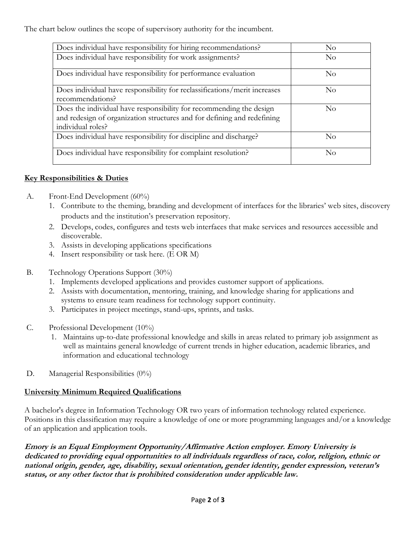The chart below outlines the scope of supervisory authority for the incumbent.

| Does individual have responsibility for hiring recommendations?                                                                                                     | No             |
|---------------------------------------------------------------------------------------------------------------------------------------------------------------------|----------------|
| Does individual have responsibility for work assignments?                                                                                                           | N <sub>o</sub> |
| Does individual have responsibility for performance evaluation                                                                                                      | $\rm No$       |
| Does individual have responsibility for reclassifications/merit increases<br>recommendations?                                                                       | $\rm No$       |
| Does the individual have responsibility for recommending the design<br>and redesign of organization structures and for defining and redefining<br>individual roles? | $\rm No$       |
| Does individual have responsibility for discipline and discharge?                                                                                                   | No             |
| Does individual have responsibility for complaint resolution?                                                                                                       | $\rm No$       |

### **Key Responsibilities & Duties**

- A. Front-End Development (60%)
	- 1. Contribute to the theming, branding and development of interfaces for the libraries' web sites, discovery products and the institution's preservation repository.
	- 2. Develops, codes, configures and tests web interfaces that make services and resources accessible and discoverable.
	- 3. Assists in developing applications specifications
	- 4. Insert responsibility or task here. (E OR M)
- B. Technology Operations Support (30%)
	- 1. Implements developed applications and provides customer support of applications.
	- 2. Assists with documentation, mentoring, training, and knowledge sharing for applications and systems to ensure team readiness for technology support continuity.
	- 3. Participates in project meetings, stand-ups, sprints, and tasks.
- C. Professional Development (10%)
	- 1. Maintains up-to-date professional knowledge and skills in areas related to primary job assignment as well as maintains general knowledge of current trends in higher education, academic libraries, and information and educational technology
- D. Managerial Responsibilities (0%)

### **University Minimum Required Qualifications**

A bachelor's degree in Information Technology OR two years of information technology related experience. Positions in this classification may require a knowledge of one or more programming languages and/or a knowledge of an application and application tools.

**Emory is an Equal Employment Opportunity/Affirmative Action employer. Emory University is dedicated to providing equal opportunities to all individuals regardless of race, color, religion, ethnic or national origin, gender, age, disability, sexual orientation, gender identity, gender expression, veteran's status, or any other factor that is prohibited consideration under applicable law.**